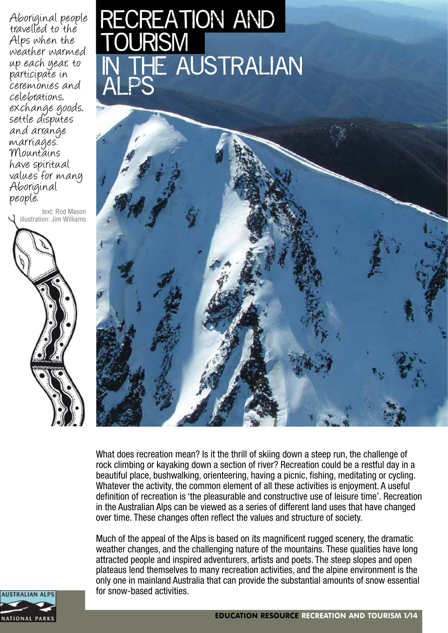Aboriginal people travelled to the Alps when the weather warmed up each year, to participate in ceremonies and celebrations, exchange goods, settle disputes and arrange marriages. Mountains have spiritual values for many Aboriginal people.

text: Rod Mason I illustration: Jim Williams



### IN THE AUSTRALIAN recreation and <u>TOURISM</u> ALPS



What does recreation mean? Is it the thrill of skiing down a steep run, the challenge of rock climbing or kayaking down a section of river? Recreation could be a restful day in a beautiful place, bushwalking, orienteering, having a picnic, fishing, meditating or cycling. Whatever the activity, the common element of all these activities is enjoyment. A useful definition of recreation is 'the pleasurable and constructive use of leisure time'. Recreation in the Australian Alps can be viewed as a series of different land uses that have changed over time. These changes often reflect the values and structure of society.

Much of the appeal of the Alps is based on its magnificent rugged scenery, the dramatic weather changes, and the challenging nature of the mountains. These qualities have long attracted people and inspired adventurers, artists and poets. The steep slopes and open plateaus lend themselves to many recreation activities, and the alpine environment is the only one in mainland Australia that can provide the substantial amounts of snow essential for snow-based activities.

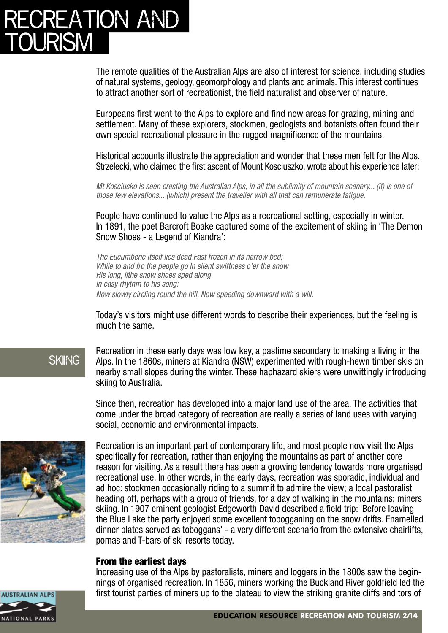### **REATION AND** <u>tourism</u>

The remote qualities of the Australian Alps are also of interest for science, including studies of natural systems, geology, geomorphology and plants and animals. This interest continues to attract another sort of recreationist, the field naturalist and observer of nature.

Europeans first went to the Alps to explore and find new areas for grazing, mining and settlement. Many of these explorers, stockmen, geologists and botanists often found their own special recreational pleasure in the rugged magnificence of the mountains.

Historical accounts illustrate the appreciation and wonder that these men felt for the Alps. Strzelecki, who claimed the first ascent of Mount Kosciuszko, wrote about his experience later:

*Mt Kosciusko is seen cresting the Australian Alps, in all the sublimity of mountain scenery... (it) is one of those few elevations... (which) present the traveller with all that can remunerate fatigue.*

People have continued to value the Alps as a recreational setting, especially in winter. In 1891, the poet Barcroft Boake captured some of the excitement of skiing in 'The Demon Snow Shoes - a Legend of Kiandra':

*The Eucumbene itself lies dead Fast frozen in its narrow bed; While to and fro the people go In silent swiftness o'er the snow His long, lithe snow shoes sped along In easy rhythm to his song: Now slowly circling round the hill, Now speeding downward with a will.*

Today's visitors might use different words to describe their experiences, but the feeling is much the same.

### **SKIING**

Recreation in these early days was low key, a pastime secondary to making a living in the Alps. In the 1860s, miners at Kiandra (NSW) experimented with rough-hewn timber skis on nearby small slopes during the winter. These haphazard skiers were unwittingly introducing skiing to Australia.

Since then, recreation has developed into a major land use of the area. The activities that come under the broad category of recreation are really a series of land uses with varying social, economic and environmental impacts.



Recreation is an important part of contemporary life, and most people now visit the Alps specifically for recreation, rather than enjoying the mountains as part of another core reason for visiting. As a result there has been a growing tendency towards more organised recreational use. In other words, in the early days, recreation was sporadic, individual and ad hoc: stockmen occasionally riding to a summit to admire the view; a local pastoralist heading off, perhaps with a group of friends, for a day of walking in the mountains; miners skiing. In 1907 eminent geologist Edgeworth David described a field trip: 'Before leaving the Blue Lake the party enjoyed some excellent tobogganing on the snow drifts. Enamelled dinner plates served as toboggans' - a very different scenario from the extensive chairlifts, pomas and T-bars of ski resorts today.

#### From the earliest days

Increasing use of the Alps by pastoralists, miners and loggers in the 1800s saw the beginnings of organised recreation. In 1856, miners working the Buckland River goldfield led the first tourist parties of miners up to the plateau to view the striking granite cliffs and tors of

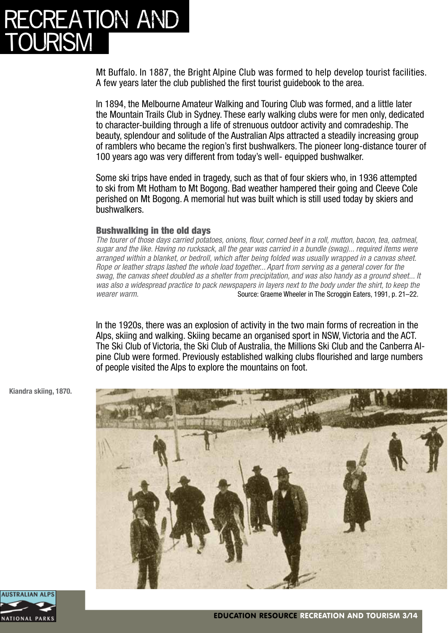### ATION AND <u>TOURISM</u>

Mt Buffalo. In 1887, the Bright Alpine Club was formed to help develop tourist facilities. A few years later the club published the first tourist guidebook to the area.

In 1894, the Melbourne Amateur Walking and Touring Club was formed, and a little later the Mountain Trails Club in Sydney. These early walking clubs were for men only, dedicated to character-building through a life of strenuous outdoor activity and comradeship. The beauty, splendour and solitude of the Australian Alps attracted a steadily increasing group of ramblers who became the region's first bushwalkers. The pioneer long-distance tourer of 100 years ago was very different from today's well- equipped bushwalker.

Some ski trips have ended in tragedy, such as that of four skiers who, in 1936 attempted to ski from Mt Hotham to Mt Bogong. Bad weather hampered their going and Cleeve Cole perished on Mt Bogong. A memorial hut was built which is still used today by skiers and bushwalkers.

#### Bushwalking in the old days

*The tourer of those days carried potatoes, onions, flour, corned beef in a roll, mutton, bacon, tea, oatmeal, sugar and the like. Having no rucksack, all the gear was carried in a bundle (swag)... required items were arranged within a blanket, or bedroll, which after being folded was usually wrapped in a canvas sheet. Rope or leather straps lashed the whole load together... Apart from serving as a general cover for the swag, the canvas sheet doubled as a shelter from precipitation, and was also handy as a ground sheet... It was also a widespread practice to pack newspapers in layers next to the body under the shirt, to keep the wearer warm.* Source: Graeme Wheeler in The Scroggin Eaters, 1991, p. 21–22.

In the 1920s, there was an explosion of activity in the two main forms of recreation in the Alps, skiing and walking. Skiing became an organised sport in NSW, Victoria and the ACT. The Ski Club of Victoria, the Ski Club of Australia, the Millions Ski Club and the Canberra Alpine Club were formed. Previously established walking clubs flourished and large numbers of people visited the Alps to explore the mountains on foot.



**Kiandra skiing, 1870.**

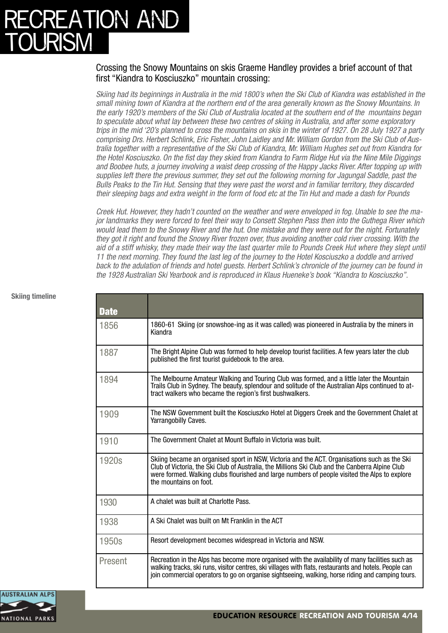## ATION AND <u>TOURISM</u>

#### Crossing the Snowy Mountains on skis Graeme Handley provides a brief account of that first "Kiandra to Kosciuszko" mountain crossing: j

*Skiing had its beginnings in Australia in the mid 1800's when the Ski Club of Kiandra was established in the small mining town of Kiandra at the northern end of the area generally known as the Snowy Mountains. In the early 1920's members of the Ski Club of Australia located at the southern end of the mountains began to speculate about what lay between these two centres of skiing in Australia, and after some exploratory trips in the mid '20's planned to cross the mountains on skis in the winter of 1927. On 28 July 1927 a party comprising Drs. Herbert Schlink, Eric Fisher, John Laidley and Mr. William Gordon from the Ski Club of Australia together with a representative of the Ski Club of Kiandra, Mr. William Hughes set out from Kiandra for the Hotel Kosciuszko. On the fist day they skied from Kiandra to Farm Ridge Hut via the Nine Mile Diggings and Boobee huts, a journey involving a waist deep crossing of the Happy Jacks River. After topping up with supplies left there the previous summer, they set out the following morning for Jagungal Saddle, past the Bulls Peaks to the Tin Hut. Sensing that they were past the worst and in familiar territory, they discarded their sleeping bags and extra weight in the form of food etc at the Tin Hut and made a dash for Pounds*

*Creek Hut. However, they hadn't counted on the weather and were enveloped in fog. Unable to see the major landmarks they were forced to feel their way to Consett Stephen Pass then into the Guthega River which would lead them to the Snowy River and the hut. One mistake and they were out for the night. Fortunately they got it right and found the Snowy River frozen over, thus avoiding another cold river crossing. With the aid of a stiff whisky, they made their way the last quarter mile to Pounds Creek Hut where they slept until 11 the next morning. They found the last leg of the journey to the Hotel Kosciuszko a doddle and arrived back to the adulation of friends and hotel guests. Herbert Schlink's chronicle of the journey can be found in the 1928 Australian Ski Yearbook and is reproduced in Klaus Hueneke's book "Kiandra to Kosciuszko".*

| <b>Date</b> |                                                                                                                                                                                                                                                                                                                            |
|-------------|----------------------------------------------------------------------------------------------------------------------------------------------------------------------------------------------------------------------------------------------------------------------------------------------------------------------------|
| 1856        | 1860-61 Skiing (or snowshoe-ing as it was called) was pioneered in Australia by the miners in<br>Kiandra                                                                                                                                                                                                                   |
| 1887        | The Bright Alpine Club was formed to help develop tourist facilities. A few years later the club<br>published the first tourist guidebook to the area.                                                                                                                                                                     |
| 1894        | The Melbourne Amateur Walking and Touring Club was formed, and a little later the Mountain<br>Trails Club in Sydney. The beauty, splendour and solitude of the Australian Alps continued to at-<br>tract walkers who became the region's first bushwalkers.                                                                |
| 1909        | The NSW Government built the Kosciuszko Hotel at Diggers Creek and the Government Chalet at<br>Yarrangobilly Caves.                                                                                                                                                                                                        |
| 1910        | The Government Chalet at Mount Buffalo in Victoria was built.                                                                                                                                                                                                                                                              |
| 1920s       | Skiing became an organised sport in NSW, Victoria and the ACT. Organisations such as the Ski<br>Club of Victoria, the Ski Club of Australia, the Millions Ski Club and the Canberra Alpine Club<br>were formed. Walking clubs flourished and large numbers of people visited the Alps to explore<br>the mountains on foot. |
| 1930        | A chalet was built at Charlotte Pass.                                                                                                                                                                                                                                                                                      |
| 1938        | A Ski Chalet was built on Mt Franklin in the ACT                                                                                                                                                                                                                                                                           |
| 1950s       | Resort development becomes widespread in Victoria and NSW.                                                                                                                                                                                                                                                                 |
| Present     | Recreation in the Alps has become more organised with the availability of many facilities such as<br>walking tracks, ski runs, visitor centres, ski villages with flats, restaurants and hotels. People can<br>join commercial operators to go on organise sightseeing, walking, horse riding and camping tours.           |



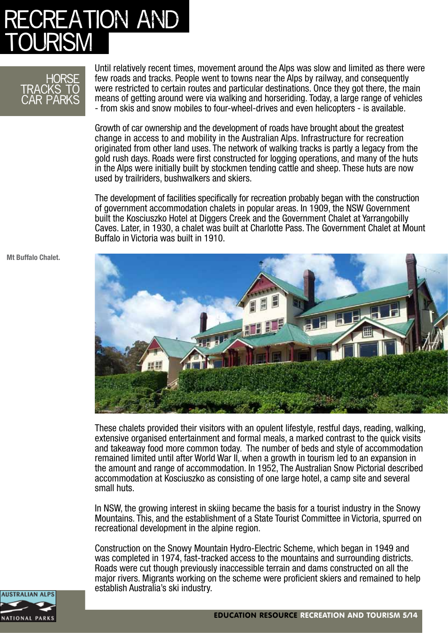## ATION AND <u>TOURISM</u>



Until relatively recent times, movement around the Alps was slow and limited as there were few roads and tracks. People went to towns near the Alps by railway, and consequently were restricted to certain routes and particular destinations. Once they got there, the main means of getting around were via walking and horseriding. Today, a large range of vehicles - from skis and snow mobiles to four-wheel-drives and even helicopters - is available.

Growth of car ownership and the development of roads have brought about the greatest change in access to and mobility in the Australian Alps. Infrastructure for recreation originated from other land uses. The network of walking tracks is partly a legacy from the gold rush days. Roads were first constructed for logging operations, and many of the huts in the Alps were initially built by stockmen tending cattle and sheep. These huts are now used by trailriders, bushwalkers and skiers.

The development of facilities specifically for recreation probably began with the construction of government accommodation chalets in popular areas. In 1909, the NSW Government built the Kosciuszko Hotel at Diggers Creek and the Government Chalet at Yarrangobilly Caves. Later, in 1930, a chalet was built at Charlotte Pass. The Government Chalet at Mount Buffalo in Victoria was built in 1910.



These chalets provided their visitors with an opulent lifestyle, restful days, reading, walking, extensive organised entertainment and formal meals, a marked contrast to the quick visits and takeaway food more common today. The number of beds and style of accommodation remained limited until after World War II, when a growth in tourism led to an expansion in the amount and range of accommodation. In 1952, The Australian Snow Pictorial described accommodation at Kosciuszko as consisting of one large hotel, a camp site and several small huts.

In NSW, the growing interest in skiing became the basis for a tourist industry in the Snowy Mountains. This, and the establishment of a State Tourist Committee in Victoria, spurred on recreational development in the alpine region.

Construction on the Snowy Mountain Hydro-Electric Scheme, which began in 1949 and was completed in 1974, fast-tracked access to the mountains and surrounding districts. Roads were cut though previously inaccessible terrain and dams constructed on all the major rivers. Migrants working on the scheme were proficient skiers and remained to help establish Australia's ski industry.

**Mt Buffalo Chalet.**

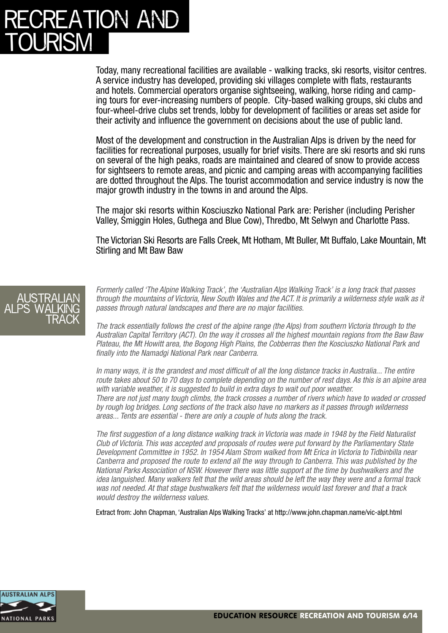## **REATION AND** <u>TOURISM</u>

Today, many recreational facilities are available - walking tracks, ski resorts, visitor centres. A service industry has developed, providing ski villages complete with flats, restaurants and hotels. Commercial operators organise sightseeing, walking, horse riding and camping tours for ever-increasing numbers of people. City-based walking groups, ski clubs and four-wheel-drive clubs set trends, lobby for development of facilities or areas set aside for their activity and influence the government on decisions about the use of public land.

Most of the development and construction in the Australian Alps is driven by the need for facilities for recreational purposes, usually for brief visits. There are ski resorts and ski runs on several of the high peaks, roads are maintained and cleared of snow to provide access for sightseers to remote areas, and picnic and camping areas with accompanying facilities are dotted throughout the Alps. The tourist accommodation and service industry is now the major growth industry in the towns in and around the Alps.

The major ski resorts within Kosciuszko National Park are: Perisher (including Perisher Valley, Smiggin Holes, Guthega and Blue Cow), Thredbo, Mt Selwyn and Charlotte Pass.

The Victorian Ski Resorts are Falls Creek, Mt Hotham, Mt Buller, Mt Buffalo, Lake Mountain, Mt Stirling and Mt Baw Baw



*Formerly called 'The Alpine Walking Track', the 'Australian Alps Walking Track' is a long track that passes through the mountains of Victoria, New South Wales and the ACT. It is primarily a wilderness style walk as it passes through natural landscapes and there are no major facilities.*

*The track essentially follows the crest of the alpine range (the Alps) from southern Victoria through to the Australian Capital Territory (ACT). On the way it crosses all the highest mountain regions from the Baw Baw Plateau, the Mt Howitt area, the Bogong High Plains, the Cobberras then the Kosciuszko National Park and finally into the Namadgi National Park near Canberra.*

*In many ways, it is the grandest and most difficult of all the long distance tracks in Australia... The entire route takes about 50 to 70 days to complete depending on the number of rest days. As this is an alpine area with variable weather, it is suggested to build in extra days to wait out poor weather. There are not just many tough climbs, the track crosses a number of rivers which have to waded or crossed by rough log bridges. Long sections of the track also have no markers as it passes through wilderness areas... Tents are essential - there are only a couple of huts along the track.*

*The first suggestion of a long distance walking track in Victoria was made in 1948 by the Field Naturalist Club of Victoria. This was accepted and proposals of routes were put forward by the Parliamentary State Development Committee in 1952. In 1954 Alam Strom walked from Mt Erica in Victoria to Tidbinbilla near Canberra and proposed the route to extend all the way through to Canberra. This was published by the National Parks Association of NSW. However there was little support at the time by bushwalkers and the idea languished. Many walkers felt that the wild areas should be left the way they were and a formal track was not needed. At that stage bushwalkers felt that the wilderness would last forever and that a track would destroy the wilderness values.*

Extract from: John Chapman, 'Australian Alps Walking Tracks' at http://www.john.chapman.name/vic-alpt.html

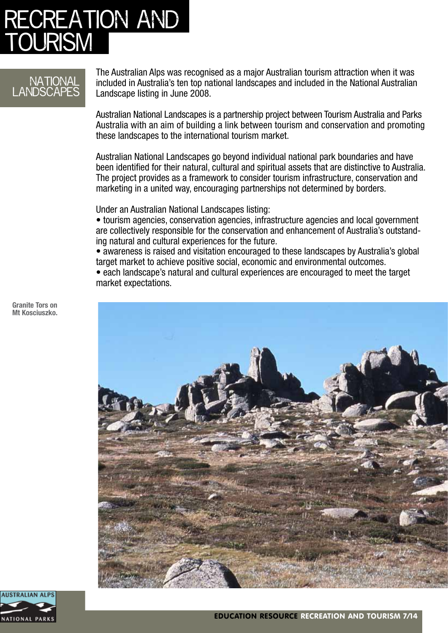## **ECREATION AND** <u>TOURISM</u>

### **NATIONA ANDSCAPES**

The Australian Alps was recognised as a major Australian tourism attraction when it was included in Australia's ten top national landscapes and included in the National Australian Landscape listing in June 2008.

Australian National Landscapes is a partnership project between Tourism Australia and Parks Australia with an aim of building a link between tourism and conservation and promoting these landscapes to the international tourism market.

Australian National Landscapes go beyond individual national park boundaries and have been identified for their natural, cultural and spiritual assets that are distinctive to Australia. The project provides as a framework to consider tourism infrastructure, conservation and marketing in a united way, encouraging partnerships not determined by borders.

Under an Australian National Landscapes listing:

• tourism agencies, conservation agencies, infrastructure agencies and local government are collectively responsible for the conservation and enhancement of Australia's outstanding natural and cultural experiences for the future.

• awareness is raised and visitation encouraged to these landscapes by Australia's global target market to achieve positive social, economic and environmental outcomes.

• each landscape's natural and cultural experiences are encouraged to meet the target market expectations.



**Granite Tors on Mt Kosciuszko.**

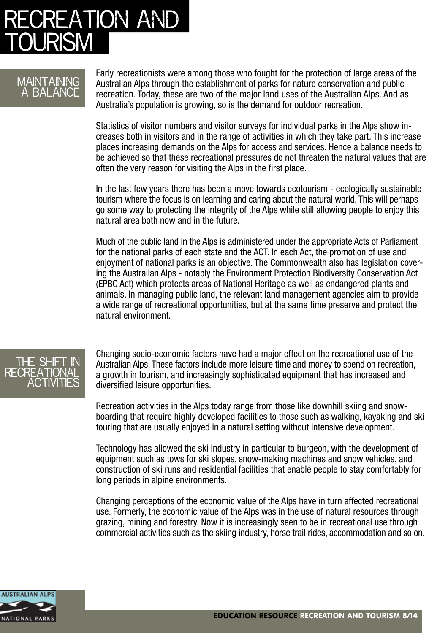## **REATION AND** )I IRISI

### **MAINTAINING** a balance

Early recreationists were among those who fought for the protection of large areas of the Australian Alps through the establishment of parks for nature conservation and public recreation. Today, these are two of the major land uses of the Australian Alps. And as Australia's population is growing, so is the demand for outdoor recreation.

Statistics of visitor numbers and visitor surveys for individual parks in the Alps show increases both in visitors and in the range of activities in which they take part. This increase places increasing demands on the Alps for access and services. Hence a balance needs to be achieved so that these recreational pressures do not threaten the natural values that are often the very reason for visiting the Alps in the first place.

In the last few years there has been a move towards ecotourism - ecologically sustainable tourism where the focus is on learning and caring about the natural world. This will perhaps go some way to protecting the integrity of the Alps while still allowing people to enjoy this natural area both now and in the future.

Much of the public land in the Alps is administered under the appropriate Acts of Parliament for the national parks of each state and the ACT. In each Act, the promotion of use and enjoyment of national parks is an objective. The Commonwealth also has legislation covering the Australian Alps - notably the Environment Protection Biodiversity Conservation Act (EPBC Act) which protects areas of National Heritage as well as endangered plants and animals. In managing public land, the relevant land management agencies aim to provide a wide range of recreational opportunities, but at the same time preserve and protect the natural environment.



Changing socio-economic factors have had a major effect on the recreational use of the Australian Alps. These factors include more leisure time and money to spend on recreation, a growth in tourism, and increasingly sophisticated equipment that has increased and diversified leisure opportunities.

Recreation activities in the Alps today range from those like downhill skiing and snowboarding that require highly developed facilities to those such as walking, kayaking and ski touring that are usually enjoyed in a natural setting without intensive development.

Technology has allowed the ski industry in particular to burgeon, with the development of equipment such as tows for ski slopes, snow-making machines and snow vehicles, and construction of ski runs and residential facilities that enable people to stay comfortably for long periods in alpine environments.

Changing perceptions of the economic value of the Alps have in turn affected recreational use. Formerly, the economic value of the Alps was in the use of natural resources through grazing, mining and forestry. Now it is increasingly seen to be in recreational use through commercial activities such as the skiing industry, horse trail rides, accommodation and so on.

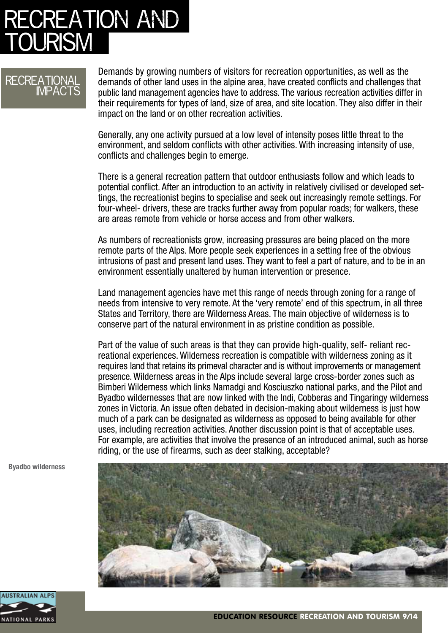## **ECREATION AND )I IRISI**

### **RECREATIONAL IMPACTS**

Demands by growing numbers of visitors for recreation opportunities, as well as the demands of other land uses in the alpine area, have created conflicts and challenges that public land management agencies have to address. The various recreation activities differ in their requirements for types of land, size of area, and site location. They also differ in their impact on the land or on other recreation activities.

Generally, any one activity pursued at a low level of intensity poses little threat to the environment, and seldom conflicts with other activities. With increasing intensity of use, conflicts and challenges begin to emerge.

There is a general recreation pattern that outdoor enthusiasts follow and which leads to potential conflict. After an introduction to an activity in relatively civilised or developed settings, the recreationist begins to specialise and seek out increasingly remote settings. For four-wheel- drivers, these are tracks further away from popular roads; for walkers, these are areas remote from vehicle or horse access and from other walkers.

As numbers of recreationists grow, increasing pressures are being placed on the more remote parts of the Alps. More people seek experiences in a setting free of the obvious intrusions of past and present land uses. They want to feel a part of nature, and to be in an environment essentially unaltered by human intervention or presence.

Land management agencies have met this range of needs through zoning for a range of needs from intensive to very remote. At the 'very remote' end of this spectrum, in all three States and Territory, there are Wilderness Areas. The main objective of wilderness is to conserve part of the natural environment in as pristine condition as possible.

Part of the value of such areas is that they can provide high-quality, self- reliant recreational experiences. Wilderness recreation is compatible with wilderness zoning as it requires land that retains its primeval character and is without improvements or management presence. Wilderness areas in the Alps include several large cross-border zones such as Bimberi Wilderness which links Namadgi and Kosciuszko national parks, and the Pilot and Byadbo wildernesses that are now linked with the Indi, Cobberas and Tingaringy wilderness zones in Victoria. An issue often debated in decision-making about wilderness is just how much of a park can be designated as wilderness as opposed to being available for other uses, including recreation activities. Another discussion point is that of acceptable uses. For example, are activities that involve the presence of an introduced animal, such as horse riding, or the use of firearms, such as deer stalking, acceptable?

**Byadbo wilderness**



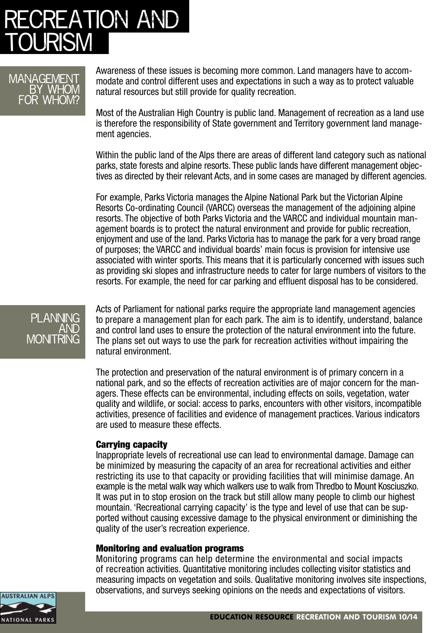## **:CREATION AND JURISM**

#### **MANAGEMENT** by whom for whom?

Awareness of these issues is becoming more common. Land managers have to accommodate and control different uses and expectations in such a way as to protect valuable natural resources but still provide for quality recreation.

Most of the Australian High Country is public land. Management of recreation as a land use is therefore the responsibility of State government and Territory government land management agencies.

Within the public land of the Alps there are areas of different land category such as national parks, state forests and alpine resorts. These public lands have different management objectives as directed by their relevant Acts, and in some cases are managed by different agencies.

For example, Parks Victoria manages the Alpine National Park but the Victorian Alpine Resorts Co-ordinating Council (VARCC) overseas the management of the adjoining alpine resorts. The objective of both Parks Victoria and the VARCC and individual mountain management boards is to protect the natural environment and provide for public recreation, enjoyment and use of the land. Parks Victoria has to manage the park for a very broad range of purposes; the VARCC and individual boards' main focus is provision for intensive use associated with winter sports. This means that it is particularly concerned with issues such as providing ski slopes and infrastructure needs to cater for large numbers of visitors to the resorts. For example, the need for car parking and effluent disposal has to be considered.

#### **PI ANNI** and MONT RING

Acts of Parliament for national parks require the appropriate land management agencies to prepare a management plan for each park. The aim is to identify, understand, balance and control land uses to ensure the protection of the natural environment into the future. The plans set out ways to use the park for recreation activities without impairing the natural environment.

The protection and preservation of the natural environment is of primary concern in a national park, and so the effects of recreation activities are of major concern for the managers. These effects can be environmental, including effects on soils, vegetation, water quality and wildlife, or social: access to parks, encounters with other visitors, incompatible activities, presence of facilities and evidence of management practices. Various indicators are used to measure these effects.

#### Carrying capacity

Inappropriate levels of recreational use can lead to environmental damage. Damage can be minimized by measuring the capacity of an area for recreational activities and either restricting its use to that capacity or providing facilities that will minimise damage. An example is the metal walk way which walkers use to walk from Thredbo to Mount Kosciuszko. It was put in to stop erosion on the track but still allow many people to climb our highest mountain. 'Recreational carrying capacity' is the type and level of use that can be supported without causing excessive damage to the physical environment or diminishing the quality of the user's recreation experience.

#### Monitoring and evaluation programs

Monitoring programs can help determine the environmental and social impacts of recreation activities. Quantitative monitoring includes collecting visitor statistics and measuring impacts on vegetation and soils. Qualitative monitoring involves site inspections, observations, and surveys seeking opinions on the needs and expectations of visitors.

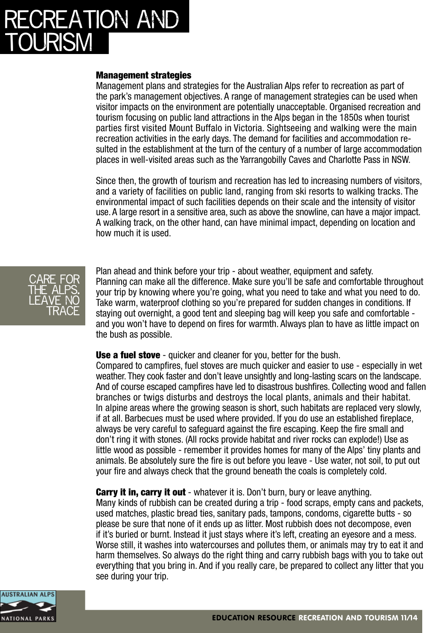## **CREATION AND** )I IRISI

#### Management strategies

Management plans and strategies for the Australian Alps refer to recreation as part of the park's management objectives. A range of management strategies can be used when visitor impacts on the environment are potentially unacceptable. Organised recreation and tourism focusing on public land attractions in the Alps began in the 1850s when tourist parties first visited Mount Buffalo in Victoria. Sightseeing and walking were the main recreation activities in the early days. The demand for facilities and accommodation resulted in the establishment at the turn of the century of a number of large accommodation places in well-visited areas such as the Yarrangobilly Caves and Charlotte Pass in NSW.

Since then, the growth of tourism and recreation has led to increasing numbers of visitors, and a variety of facilities on public land, ranging from ski resorts to walking tracks. The environmental impact of such facilities depends on their scale and the intensity of visitor use. A large resort in a sensitive area, such as above the snowline, can have a major impact. A walking track, on the other hand, can have minimal impact, depending on location and how much it is used.



Plan ahead and think before your trip - about weather, equipment and safety. Planning can make all the difference. Make sure you'll be safe and comfortable throughout your trip by knowing where you're going, what you need to take and what you need to do. Take warm, waterproof clothing so you're prepared for sudden changes in conditions. If staying out overnight, a good tent and sleeping bag will keep you safe and comfortable and you won't have to depend on fires for warmth. Always plan to have as little impact on the bush as possible.

**Use a fuel stove** - quicker and cleaner for you, better for the bush.

Compared to campfires, fuel stoves are much quicker and easier to use - especially in wet weather. They cook faster and don't leave unsightly and long-lasting scars on the landscape. And of course escaped campfires have led to disastrous bushfires. Collecting wood and fallen branches or twigs disturbs and destroys the local plants, animals and their habitat. In alpine areas where the growing season is short, such habitats are replaced very slowly, if at all. Barbecues must be used where provided. If you do use an established fireplace, always be very careful to safeguard against the fire escaping. Keep the fire small and don't ring it with stones. (All rocks provide habitat and river rocks can explode!) Use as little wood as possible - remember it provides homes for many of the Alps' tiny plants and animals. Be absolutely sure the fire is out before you leave - Use water, not soil, to put out your fire and always check that the ground beneath the coals is completely cold.

**Carry it in, carry it out** - whatever it is. Don't burn, bury or leave anything.

Many kinds of rubbish can be created during a trip - food scraps, empty cans and packets, used matches, plastic bread ties, sanitary pads, tampons, condoms, cigarette butts - so please be sure that none of it ends up as litter. Most rubbish does not decompose, even if it's buried or burnt. Instead it just stays where it's left, creating an eyesore and a mess. Worse still, it washes into watercourses and pollutes them, or animals may try to eat it and harm themselves. So always do the right thing and carry rubbish bags with you to take out everything that you bring in. And if you really care, be prepared to collect any litter that you see during your trip.

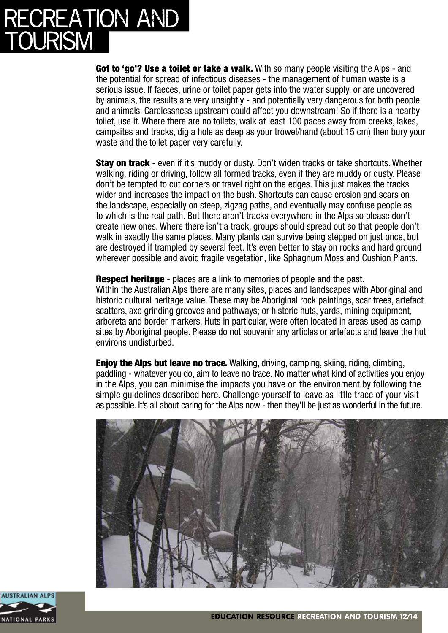# ATION AND tourism

Got to 'go'? Use a toilet or take a walk. With so many people visiting the Alps - and the potential for spread of infectious diseases - the management of human waste is a serious issue. If faeces, urine or toilet paper gets into the water supply, or are uncovered by animals, the results are very unsightly - and potentially very dangerous for both people and animals. Carelessness upstream could affect you downstream! So if there is a nearby toilet, use it. Where there are no toilets, walk at least 100 paces away from creeks, lakes, campsites and tracks, dig a hole as deep as your trowel/hand (about 15 cm) then bury your waste and the toilet paper very carefully.

Stay on track - even if it's muddy or dusty. Don't widen tracks or take shortcuts. Whether walking, riding or driving, follow all formed tracks, even if they are muddy or dusty. Please don't be tempted to cut corners or travel right on the edges. This just makes the tracks wider and increases the impact on the bush. Shortcuts can cause erosion and scars on the landscape, especially on steep, zigzag paths, and eventually may confuse people as to which is the real path. But there aren't tracks everywhere in the Alps so please don't create new ones. Where there isn't a track, groups should spread out so that people don't walk in exactly the same places. Many plants can survive being stepped on just once, but are destroyed if trampled by several feet. It's even better to stay on rocks and hard ground wherever possible and avoid fragile vegetation, like Sphagnum Moss and Cushion Plants.

**Respect heritage** - places are a link to memories of people and the past. Within the Australian Alps there are many sites, places and landscapes with Aboriginal and historic cultural heritage value. These may be Aboriginal rock paintings, scar trees, artefact scatters, axe grinding grooves and pathways; or historic huts, yards, mining equipment, arboreta and border markers. Huts in particular, were often located in areas used as camp sites by Aboriginal people. Please do not souvenir any articles or artefacts and leave the hut environs undisturbed.

**Enjoy the Alps but leave no trace.** Walking, driving, camping, skiing, riding, climbing, paddling - whatever you do, aim to leave no trace. No matter what kind of activities you enjoy in the Alps, you can minimise the impacts you have on the environment by following the simple guidelines described here. Challenge yourself to leave as little trace of your visit as possible. It's all about caring for the Alps now - then they'll be just as wonderful in the future.



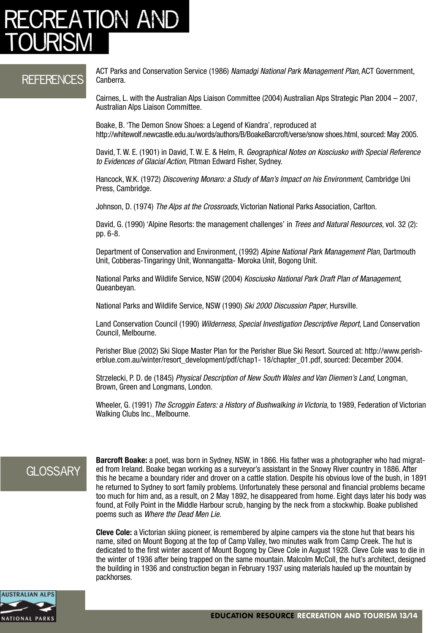### ATION AN <u>tourism</u>

### References

ACT Parks and Conservation Service (1986) *Namadgi National Park Management Plan*, ACT Government, Canberra.

Cairnes, L. with the Australian Alps Liaison Committee (2004) Australian Alps Strategic Plan 2004 – 2007, Australian Alps Liaison Committee.

Boake, B. 'The Demon Snow Shoes: a Legend of Kiandra', reproduced at http://whitewolf.newcastle.edu.au/words/authors/B/BoakeBarcroft/verse/snow shoes.html, sourced: May 2005.

David, T. W. E. (1901) in David, T. W. E. & Helm, R. *Geographical Notes on Kosciusko with Special Reference to Evidences of Glacial Action*, Pitman Edward Fisher, Sydney.

Hancock, W.K. (1972) *Discovering Monaro: a Study of Man's Impact on his Environment*, Cambridge Uni Press, Cambridge.

Johnson, D. (1974) *The Alps at the Crossroads*, Victorian National Parks Association, Carlton.

David, G. (1990) 'Alpine Resorts: the management challenges' in *Trees and Natural Resources*, vol. 32 (2): pp. 6-8.

Department of Conservation and Environment, (1992) *Alpine National Park Management Plan*, Dartmouth Unit, Cobberas-Tingaringy Unit, Wonnangatta- Moroka Unit, Bogong Unit.

National Parks and Wildlife Service, NSW (2004) *Kosciusko National Park Draft Plan of Management*, Queanbeyan.

National Parks and Wildlife Service, NSW (1990) *Ski 2000 Discussion Paper*, Hursville.

Land Conservation Council (1990) *Wilderness, Special Investigation Descriptive Report*, Land Conservation Council, Melbourne.

Perisher Blue (2002) Ski Slope Master Plan for the Perisher Blue Ski Resort. Sourced at: http://www.perisherblue.com.au/winter/resort\_development/pdf/chap1- 18/chapter\_01.pdf, sourced: December 2004.

Strzelecki, P. D. de (1845) *Physical Description of New South Wales and Van Diemen's Land*, Longman, Brown, Green and Longmans, London.

Wheeler, G. (1991) *The Scroggin Eaters: a History of Bushwalking in Victoria*, to 1989, Federation of Victorian Walking Clubs Inc., Melbourne.

### **GLOSSARY**

**Barcroft Boake:** a poet, was born in Sydney, NSW, in 1866. His father was a photographer who had migrated from Ireland. Boake began working as a surveyor's assistant in the Snowy River country in 1886. After this he became a boundary rider and drover on a cattle station. Despite his obvious love of the bush, in 1891 he returned to Sydney to sort family problems. Unfortunately these personal and financial problems became too much for him and, as a result, on 2 May 1892, he disappeared from home. Eight days later his body was found, at Folly Point in the Middle Harbour scrub, hanging by the neck from a stockwhip. Boake published poems such as *Where the Dead Men Lie*.

**Cleve Cole:** a Victorian skiing pioneer, is remembered by alpine campers via the stone hut that bears his name, sited on Mount Bogong at the top of Camp Valley, two minutes walk from Camp Creek. The hut is dedicated to the first winter ascent of Mount Bogong by Cleve Cole in August 1928. Cleve Cole was to die in the winter of 1936 after being trapped on the same mountain. Malcolm McColl, the hut's architect, designed the building in 1936 and construction began in February 1937 using materials hauled up the mountain by packhorses.